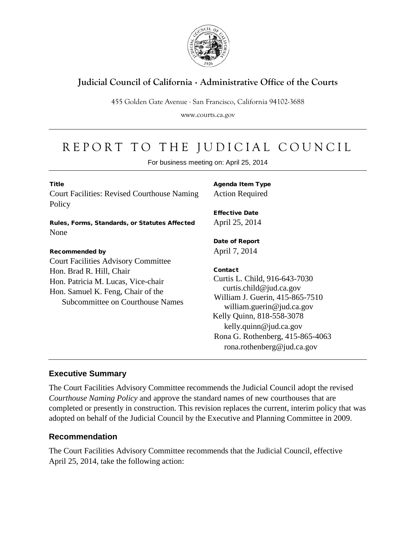

## **Judicial Council of California** . **Administrative Office of the Courts**

455 Golden Gate Avenue . San Francisco, California 94102-3688

www.courts.ca.gov

## REPORT TO THE JUDICIAL COUNCIL

For business meeting on: April 25, 2014

| <b>Title</b><br><b>Court Facilities: Revised Courthouse Naming</b><br>Policy                                                                                                          | <b>Agenda Item Type</b><br><b>Action Required</b><br><b>Effective Date</b>                                                                                                                                                                                   |
|---------------------------------------------------------------------------------------------------------------------------------------------------------------------------------------|--------------------------------------------------------------------------------------------------------------------------------------------------------------------------------------------------------------------------------------------------------------|
| Rules, Forms, Standards, or Statutes Affected<br>None                                                                                                                                 | April 25, 2014                                                                                                                                                                                                                                               |
| <b>Recommended by</b>                                                                                                                                                                 | Date of Report<br>April 7, 2014                                                                                                                                                                                                                              |
| <b>Court Facilities Advisory Committee</b><br>Hon. Brad R. Hill, Chair<br>Hon. Patricia M. Lucas, Vice-chair<br>Hon. Samuel K. Feng, Chair of the<br>Subcommittee on Courthouse Names | Contact<br>Curtis L. Child, 916-643-7030<br>curtis.child@jud.ca.gov<br>William J. Guerin, 415-865-7510<br>william.guerin@jud.ca.gov<br>Kelly Quinn, 818-558-3078<br>kelly.quinn@jud.ca.gov<br>Rona G. Rothenberg, 415-865-4063<br>rona.rothenberg@jud.ca.gov |

## **Executive Summary**

The Court Facilities Advisory Committee recommends the Judicial Council adopt the revised *Courthouse Naming Policy* and approve the standard names of new courthouses that are completed or presently in construction. This revision replaces the current, interim policy that was adopted on behalf of the Judicial Council by the Executive and Planning Committee in 2009.

## **Recommendation**

The Court Facilities Advisory Committee recommends that the Judicial Council, effective April 25, 2014, take the following action: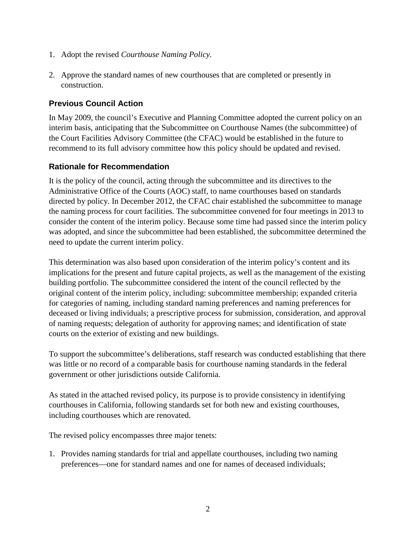- 1. Adopt the revised *Courthouse Naming Policy.*
- 2. Approve the standard names of new courthouses that are completed or presently in construction.

## **Previous Council Action**

In May 2009, the council's Executive and Planning Committee adopted the current policy on an interim basis, anticipating that the Subcommittee on Courthouse Names (the subcommittee) of the Court Facilities Advisory Committee (the CFAC) would be established in the future to recommend to its full advisory committee how this policy should be updated and revised.

## **Rationale for Recommendation**

It is the policy of the council, acting through the subcommittee and its directives to the Administrative Office of the Courts (AOC) staff, to name courthouses based on standards directed by policy. In December 2012, the CFAC chair established the subcommittee to manage the naming process for court facilities. The subcommittee convened for four meetings in 2013 to consider the content of the interim policy. Because some time had passed since the interim policy was adopted, and since the subcommittee had been established, the subcommittee determined the need to update the current interim policy.

This determination was also based upon consideration of the interim policy's content and its implications for the present and future capital projects, as well as the management of the existing building portfolio. The subcommittee considered the intent of the council reflected by the original content of the interim policy, including: subcommittee membership; expanded criteria for categories of naming, including standard naming preferences and naming preferences for deceased or living individuals; a prescriptive process for submission, consideration, and approval of naming requests; delegation of authority for approving names; and identification of state courts on the exterior of existing and new buildings.

To support the subcommittee's deliberations, staff research was conducted establishing that there was little or no record of a comparable basis for courthouse naming standards in the federal government or other jurisdictions outside California.

As stated in the attached revised policy, its purpose is to provide consistency in identifying courthouses in California, following standards set for both new and existing courthouses, including courthouses which are renovated.

The revised policy encompasses three major tenets:

1. Provides naming standards for trial and appellate courthouses, including two naming preferences—one for standard names and one for names of deceased individuals;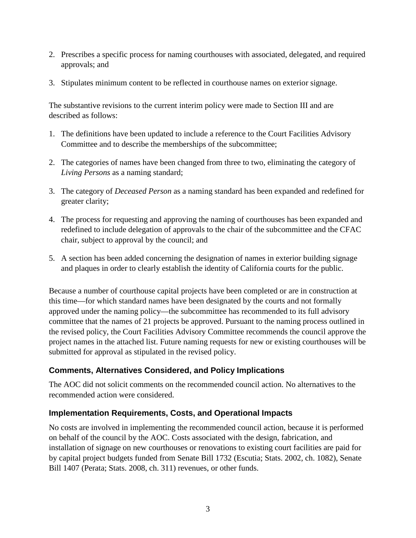- 2. Prescribes a specific process for naming courthouses with associated, delegated, and required approvals; and
- 3. Stipulates minimum content to be reflected in courthouse names on exterior signage.

The substantive revisions to the current interim policy were made to Section III and are described as follows:

- 1. The definitions have been updated to include a reference to the Court Facilities Advisory Committee and to describe the memberships of the subcommittee;
- 2. The categories of names have been changed from three to two, eliminating the category of *Living Persons* as a naming standard;
- 3. The category of *Deceased Person* as a naming standard has been expanded and redefined for greater clarity;
- 4. The process for requesting and approving the naming of courthouses has been expanded and redefined to include delegation of approvals to the chair of the subcommittee and the CFAC chair, subject to approval by the council; and
- 5. A section has been added concerning the designation of names in exterior building signage and plaques in order to clearly establish the identity of California courts for the public.

Because a number of courthouse capital projects have been completed or are in construction at this time—for which standard names have been designated by the courts and not formally approved under the naming policy—the subcommittee has recommended to its full advisory committee that the names of 21 projects be approved. Pursuant to the naming process outlined in the revised policy, the Court Facilities Advisory Committee recommends the council approve the project names in the attached list. Future naming requests for new or existing courthouses will be submitted for approval as stipulated in the revised policy.

## **Comments, Alternatives Considered, and Policy Implications**

The AOC did not solicit comments on the recommended council action. No alternatives to the recommended action were considered.

## **Implementation Requirements, Costs, and Operational Impacts**

No costs are involved in implementing the recommended council action, because it is performed on behalf of the council by the AOC. Costs associated with the design, fabrication, and installation of signage on new courthouses or renovations to existing court facilities are paid for by capital project budgets funded from Senate Bill 1732 (Escutia; Stats. 2002, ch. 1082), Senate Bill 1407 (Perata; Stats. 2008, ch. 311) revenues, or other funds.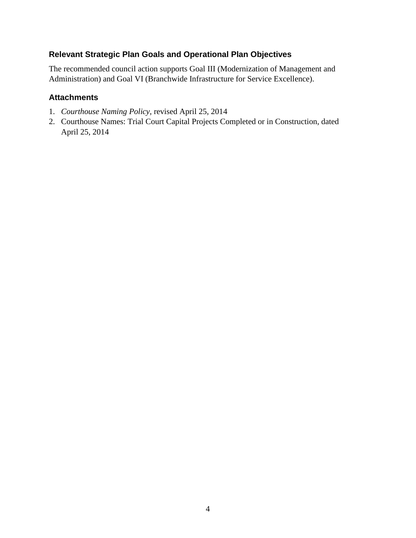## **Relevant Strategic Plan Goals and Operational Plan Objectives**

The recommended council action supports Goal III (Modernization of Management and Administration) and Goal VI (Branchwide Infrastructure for Service Excellence).

## **Attachments**

- 1. *Courthouse Naming Policy,* revised April 25, 2014
- 2. Courthouse Names: Trial Court Capital Projects Completed or in Construction, dated April 25, 2014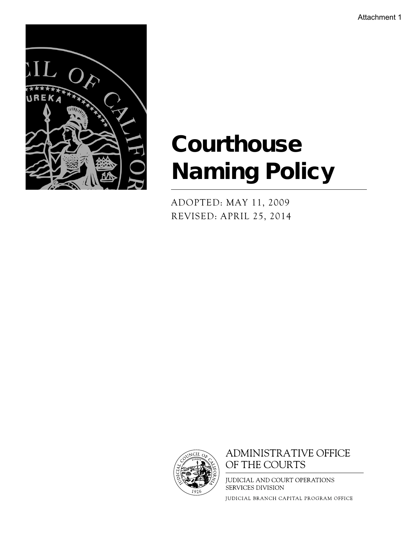Attachment 1



# **Courthouse** Naming Policy

ADOPTED: MAY 11, 2009 REVISED: APRIL 25, 2014



## **ADMINISTRATIVE OFFICE** OF THE COURTS

JUDICIAL AND COURT OPERATIONS SERVICES DIVISION

JUDICIAL BRANCH CAPITAL PROGRAM OFFICE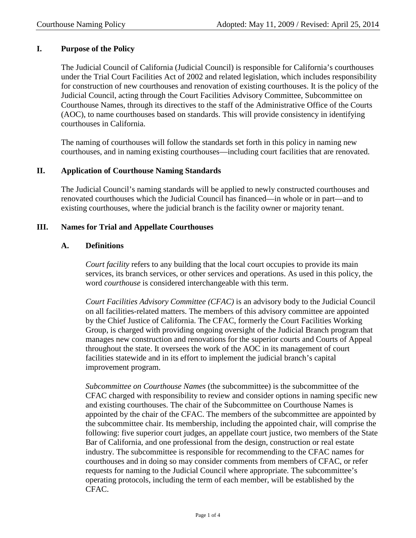## **I. Purpose of the Policy**

The Judicial Council of California (Judicial Council) is responsible for California's courthouses under the Trial Court Facilities Act of 2002 and related legislation, which includes responsibility for construction of new courthouses and renovation of existing courthouses. It is the policy of the Judicial Council, acting through the Court Facilities Advisory Committee, Subcommittee on Courthouse Names, through its directives to the staff of the Administrative Office of the Courts (AOC), to name courthouses based on standards. This will provide consistency in identifying courthouses in California.

The naming of courthouses will follow the standards set forth in this policy in naming new courthouses, and in naming existing courthouses—including court facilities that are renovated.

## **II. Application of Courthouse Naming Standards**

The Judicial Council's naming standards will be applied to newly constructed courthouses and renovated courthouses which the Judicial Council has financed—in whole or in part—and to existing courthouses, where the judicial branch is the facility owner or majority tenant.

## **III. Names for Trial and Appellate Courthouses**

## **A. Definitions**

*Court facility* refers to any building that the local court occupies to provide its main services, its branch services, or other services and operations. As used in this policy, the word *courthouse* is considered interchangeable with this term.

*Court Facilities Advisory Committee (CFAC)* is an advisory body to the Judicial Council on all facilities-related matters. The members of this advisory committee are appointed by the Chief Justice of California. The CFAC, formerly the Court Facilities Working Group, is charged with providing ongoing oversight of the Judicial Branch program that manages new construction and renovations for the superior courts and Courts of Appeal throughout the state. It oversees the work of the AOC in its management of court facilities statewide and in its effort to implement the judicial branch's capital improvement program.

*Subcommittee on Courthouse Names* (the subcommittee) is the subcommittee of the CFAC charged with responsibility to review and consider options in naming specific new and existing courthouses. The chair of the Subcommittee on Courthouse Names is appointed by the chair of the CFAC. The members of the subcommittee are appointed by the subcommittee chair. Its membership, including the appointed chair, will comprise the following: five superior court judges, an appellate court justice, two members of the State Bar of California, and one professional from the design, construction or real estate industry. The subcommittee is responsible for recommending to the CFAC names for courthouses and in doing so may consider comments from members of CFAC, or refer requests for naming to the Judicial Council where appropriate. The subcommittee's operating protocols, including the term of each member, will be established by the CFAC.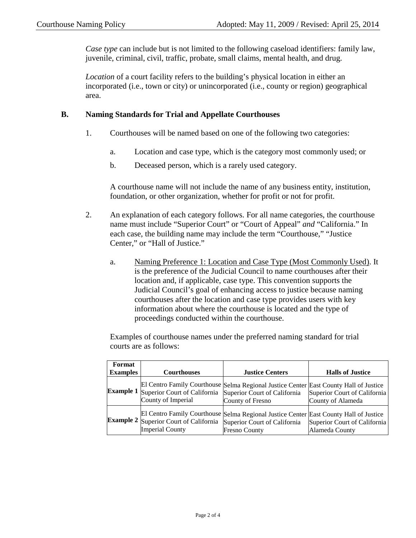*Case type* can include but is not limited to the following caseload identifiers: family law, juvenile, criminal, civil, traffic, probate, small claims, mental health, and drug.

*Location* of a court facility refers to the building's physical location in either an incorporated (i.e., town or city) or unincorporated (i.e., county or region) geographical area.

## **B. Naming Standards for Trial and Appellate Courthouses**

- 1. Courthouses will be named based on one of the following two categories:
	- a. Location and case type, which is the category most commonly used; or
	- b. Deceased person, which is a rarely used category.

A courthouse name will not include the name of any business entity, institution, foundation, or other organization, whether for profit or not for profit.

- 2. An explanation of each category follows. For all name categories, the courthouse name must include "Superior Court" or "Court of Appeal" *and* "California." In each case, the building name may include the term "Courthouse," "Justice Center," or "Hall of Justice."
	- a. Naming Preference 1: Location and Case Type (Most Commonly Used). It is the preference of the Judicial Council to name courthouses after their location and, if applicable, case type. This convention supports the Judicial Council's goal of enhancing access to justice because naming courthouses after the location and case type provides users with key information about where the courthouse is located and the type of proceedings conducted within the courthouse.

Examples of courthouse names under the preferred naming standard for trial courts are as follows:

| Format           |                                                                  |                                                                                                                                               |                                                   |
|------------------|------------------------------------------------------------------|-----------------------------------------------------------------------------------------------------------------------------------------------|---------------------------------------------------|
| <b>Examples</b>  | <b>Courthouses</b>                                               | <b>Justice Centers</b>                                                                                                                        | <b>Halls of Justice</b>                           |
| <b>Example 1</b> | Superior Court of California<br>County of Imperial               | El Centro Family Courthouse Selma Regional Justice Center East County Hall of Justice<br>Superior Court of California<br>County of Fresno     | Superior Court of California<br>County of Alameda |
|                  | <b>Example 2</b> Superior Court of California<br>Imperial County | El Centro Family Courthouse Selma Regional Justice Center East County Hall of Justice<br>Superior Court of California<br><b>Fresno County</b> | Superior Court of California<br>Alameda County    |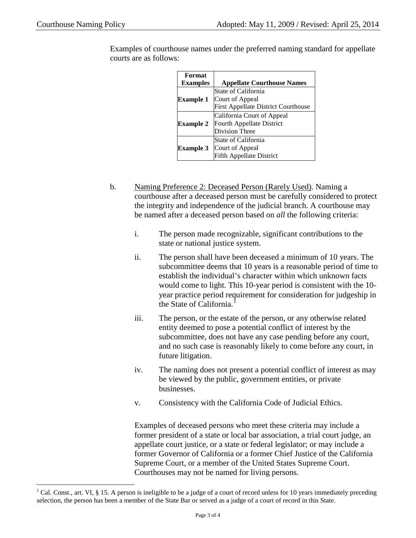| Format           |                                            |
|------------------|--------------------------------------------|
| <b>Examples</b>  | <b>Appellate Courthouse Names</b>          |
|                  | State of California                        |
| <b>Example 1</b> | Court of Appeal                            |
|                  | <b>First Appellate District Courthouse</b> |
|                  | California Court of Appeal                 |
| <b>Example 2</b> | Fourth Appellate District                  |
|                  | Division Three                             |
|                  | State of California                        |
| <b>Example 3</b> | Court of Appeal                            |
|                  | <b>Fifth Appellate District</b>            |

Examples of courthouse names under the preferred naming standard for appellate courts are as follows:

- b. Naming Preference 2: Deceased Person (Rarely Used). Naming a courthouse after a deceased person must be carefully considered to protect the integrity and independence of the judicial branch. A courthouse may be named after a deceased person based on *all* the following criteria:
	- i. The person made recognizable, significant contributions to the state or national justice system.
	- ii. The person shall have been deceased a minimum of 10 years. The subcommittee deems that 10 years is a reasonable period of time to establish the individual's character within which unknown facts would come to light. This 10-year period is consistent with the 10 year practice period requirement for consideration for judgeship in the State of California.<sup>[1](#page-7-0)</sup>
	- iii. The person, or the estate of the person, or any otherwise related entity deemed to pose a potential conflict of interest by the subcommittee, does not have any case pending before any court, and no such case is reasonably likely to come before any court, in future litigation.
	- iv. The naming does not present a potential conflict of interest as may be viewed by the public, government entities, or private businesses.
	- v. Consistency with the California Code of Judicial Ethics.

Examples of deceased persons who meet these criteria may include a former president of a state or local bar association, a trial court judge, an appellate court justice, or a state or federal legislator; or may include a former Governor of California or a former Chief Justice of the California Supreme Court, or a member of the United States Supreme Court. Courthouses may not be named for living persons.

<span id="page-7-0"></span><sup>&</sup>lt;sup>1</sup> Cal. Const., art. VI, § 15. A person is ineligible to be a judge of a court of record unless for 10 years immediately preceding selection, the person has been a member of the State Bar or served as a judge of a court of record in this State.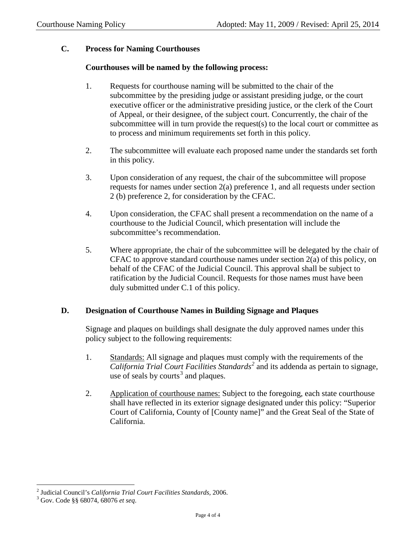## **C. Process for Naming Courthouses**

## **Courthouses will be named by the following process:**

- 1. Requests for courthouse naming will be submitted to the chair of the subcommittee by the presiding judge or assistant presiding judge, or the court executive officer or the administrative presiding justice, or the clerk of the Court of Appeal, or their designee, of the subject court. Concurrently, the chair of the subcommittee will in turn provide the request(s) to the local court or committee as to process and minimum requirements set forth in this policy.
- 2. The subcommittee will evaluate each proposed name under the standards set forth in this policy.
- 3. Upon consideration of any request, the chair of the subcommittee will propose requests for names under section 2(a) preference 1, and all requests under section 2 (b) preference 2, for consideration by the CFAC.
- 4. Upon consideration, the CFAC shall present a recommendation on the name of a courthouse to the Judicial Council, which presentation will include the subcommittee's recommendation.
- 5. Where appropriate, the chair of the subcommittee will be delegated by the chair of CFAC to approve standard courthouse names under section  $2(a)$  of this policy, on behalf of the CFAC of the Judicial Council. This approval shall be subject to ratification by the Judicial Council. Requests for those names must have been duly submitted under C.1 of this policy.

## **D. Designation of Courthouse Names in Building Signage and Plaques**

Signage and plaques on buildings shall designate the duly approved names under this policy subject to the following requirements:

- 1. Standards: All signage and plaques must comply with the requirements of the *California Trial Court Facilities Standards[2](#page-8-0)* and its addenda as pertain to signage, use of seals by courts<sup>[3](#page-8-1)</sup> and plaques.
- 2. Application of courthouse names: Subject to the foregoing, each state courthouse shall have reflected in its exterior signage designated under this policy: "Superior Court of California, County of [County name]" and the Great Seal of the State of California.

<span id="page-8-0"></span><sup>2</sup> Judicial Council's *California Trial Court Facilities Standards,* 2006. <sup>3</sup> Gov. Code §§ 68074, 68076 *et seq*.

<span id="page-8-1"></span>